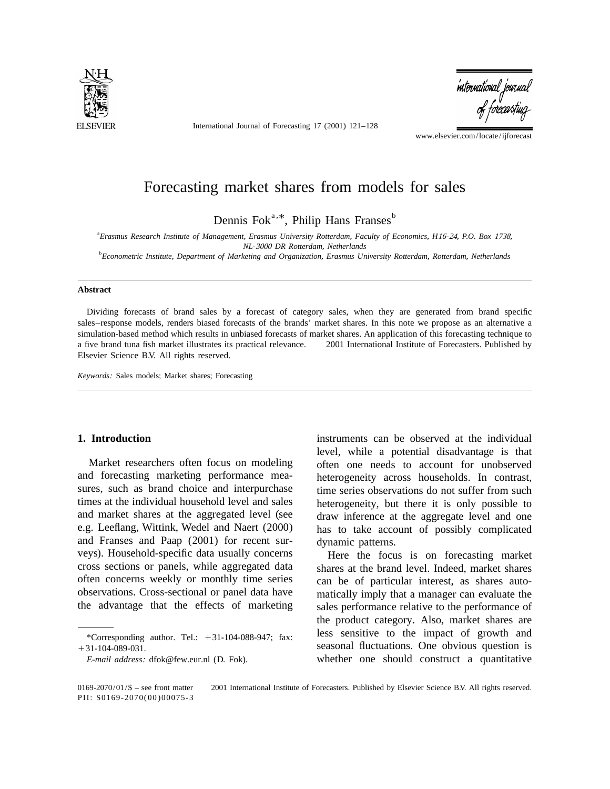

International Journal of Forecasting 17 (2001) 121–128

'nternational journal<br>of forecasting

www.elsevier.com/locate/ijforecast

## Forecasting market shares from models for sales

Dennis Fok<sup>a, \*</sup>, Philip Hans Franses<sup>b</sup>

a *Erasmus Research Institute of Management*, *Erasmus University Rotterdam*, *Faculty of Economics*, *H*16-24, *P*.*O*. *Box* 1738, *NL*-<sup>3000</sup> *DR Rotterdam*, *Netherlands*

b *Econometric Institute*, *Department of Marketing and Organization*, *Erasmus University Rotterdam*, *Rotterdam*, *Netherlands*

### **Abstract**

Dividing forecasts of brand sales by a forecast of category sales, when they are generated from brand specific sales–response models, renders biased forecasts of the brands' market shares. In this note we propose as an alternative a simulation-based method which results in unbiased forecasts of market shares. An application of this forecasting technique to a five brand tuna fish market illustrates its practical relevance.  $\oslash$  2001 International Institute of Forecasters. Published by Elsevier Science B.V. All rights reserved.

*Keywords*: Sales models; Market shares; Forecasting

and forecasting marketing performance mea-<br>sures, such as brand choice and interpurchase<br>ime series observations do not suffer from such times at the individual household level and sales heterogeneity, but there it is only possible to and market shares at the aggregated level (see draw inference at the aggregate level and one and market shares at the aggregated level (see draw inference at the aggregate level and one e.g. Leeflang, Wittink, Wedel and Naert (2000) has to take account of possibly complicated and Franses and Paap (2001) for recent sur- dynamic patterns. veys). Household-specific data usually concerns Here the focus is on forecasting market cross sections or panels, while aggregated data shares at the brand level. Indeed, market shares often concerns weekly or monthly time series can be of particular interest, as shares auto-<br>observations. Cross-sectional or panel data have matically imply that a manager can evaluate the observations. Cross-sectional or panel data have matically imply that a manager can evaluate the devantage that the effects of marketing sales performance relative to the performance of

**1. Introduction** instruments can be observed at the individual level, while a potential disadvantage is that Market researchers often focus on modeling often one needs to account for unobserved time series observations do not suffer from such has to take account of possibly complicated

sales performance relative to the performance of the product category. Also, market shares are  $\overline{\text{``Corresponding author. Tel.: +31-104-088-947; fax:}}$  less sensitive to the impact of growth and 131-104-089-031. seasonal fluctuations. One obvious question is *E*-*mail address*: dfok@few.eur.nl (D. Fok). whether one should construct a quantitative

<sup>0169-2070/01/\$ –</sup> see front matter  $\degree$  2001 International Institute of Forecasters. Published by Elsevier Science B.V. All rights reserved. PII: S0169-2070(00)00075-3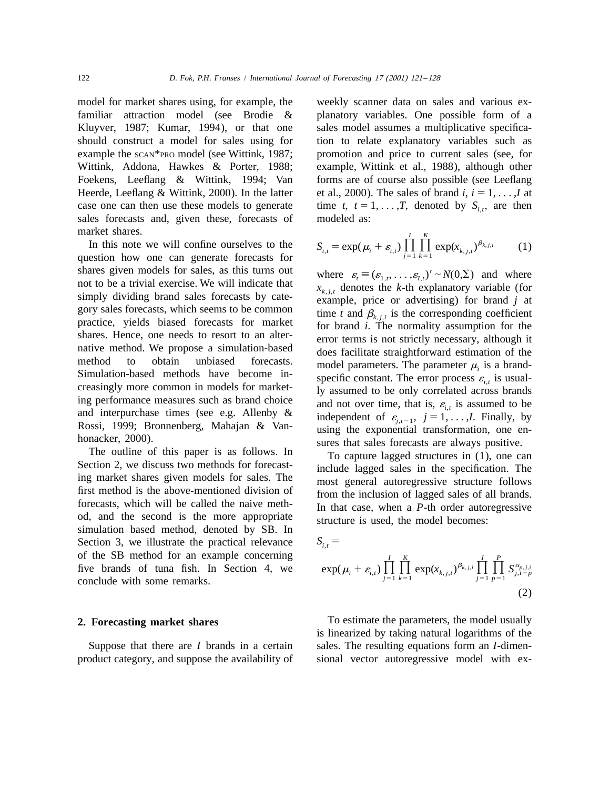model for market shares using, for example, the weekly scanner data on sales and various exfamiliar attraction model (see Brodie & planatory variables. One possible form of a Kluyver, 1987; Kumar, 1994), or that one sales model assumes a multiplicative specificashould construct a model for sales using for tion to relate explanatory variables such as example the SCAN\*PRO model (see Wittink, 1987; promotion and price to current sales (see, for Wittink, Addona, Hawkes & Porter, 1988; example, Wittink et al., 1988), although other Foekens, Leeflang & Wittink, 1994; Van forms are of course also possible (see Leeflang Heerde, Leeflang & Wittink, 2000). In the latter et al., 2000). The sales of brand *i*,  $i = 1, \ldots, I$  at case one can then use these models to generate time *t*,  $t = 1, \ldots, T$ , denoted by  $S_{i,t}$ , are then sales forecasts and, given these, forecasts of modeled as: sales forecasts and, given these, forecasts of market shares.

In this note we will confine ourselves to the question how one can generate forecasts for shares given models for sales, as this turns out<br>not to be a trivial exercise. We will indicate that<br>simply dividing brand sales forecasts by cate-<br>gory sales forecasts, which seems to be common<br>time t and  $\beta$  is the cor

Section 3, we illustrate the practical relevance 5 of the SB method for an example concerning five brands of tuna fish. In Section 4, we conclude with some remarks.

product category, and suppose the availability of sional vector autoregressive model with ex-

$$
S_{i,t} = \exp(\mu_i + \varepsilon_{i,t}) \prod_{j=1}^{I} \prod_{k=1}^{K} \exp(x_{k,j,t})^{\beta_{k,j,t}}
$$
 (1)

gory sales forecasts, which seems to be common<br>practice, yields biased forceasts for market<br>that in the t and  $\beta_{k,j,i}$  is the corresponding coefficient<br>that is mence, one needs to resort to an alter-<br>mative method. We pr

$$
S_{i,t} = \exp(\mu_i + \varepsilon_{i,t}) \prod_{j=1}^{I} \prod_{k=1}^{K} \exp(x_{k,j,t})^{\beta_{k,j,t}} \prod_{j=1}^{I} \prod_{p=1}^{P} S_{j,t-p}^{\alpha_{p,j,t}}
$$
(2)

**2. Forecasting market shares** To estimate the parameters, the model usually is linearized by taking natural logarithms of the Suppose that there are *I* brands in a certain sales. The resulting equations form an *I*-dimen-